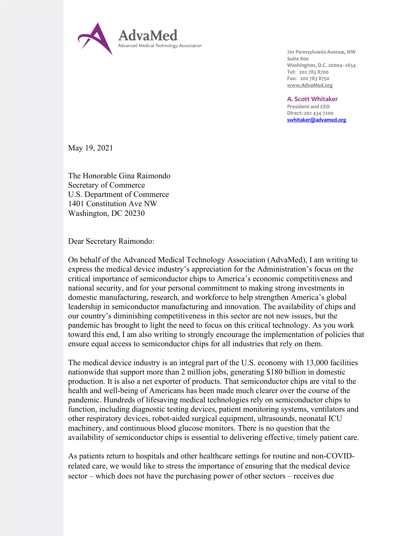

701 Pennsylvania Avenue, NW Suite 800 Washington, D.C. 20004–2654 Tel: 202 783 8700 Fax: 202 783 8750 www.AdvaMed.org

A. Scott Whitaker

President and CEO Direct: 202 434 7200 swhitaker@advamed.org

May 19, 2021

The Honorable Gina Raimondo Secretary of Commerce U.S. Department of Commerce 1401 Constitution Ave NW Washington, DC 20230

Dear Secretary Raimondo:

On behalf of the Advanced Medical Technology Association (AdvaMed), I am writing to express the medical device industry's appreciation for the Administration's focus on the critical importance of semiconductor chips to America's economic competitiveness and national security, and for your personal commitment to making strong investments in domestic manufacturing, research, and workforce to help strengthen America's global leadership in semiconductor manufacturing and innovation. The availability of chips and our country's diminishing competitiveness in this sector are not new issues, but the pandemic has brought to light the need to focus on this critical technology. As you work toward this end, I am also writing to strongly encourage the implementation of policies that ensure equal access to semiconductor chips for all industries that rely on them.

The medical device industry is an integral part of the U.S. economy with 13,000 facilities nationwide that support more than 2 million jobs, generating \$180 billion in domestic production. It is also a net exporter of products. That semiconductor chips are vital to the health and well-being of Americans has been made much clearer over the course of the pandemic. Hundreds of lifesaving medical technologies rely on semiconductor chips to function, including diagnostic testing devices, patient monitoring systems, ventilators and other respiratory devices, robot-aided surgical equipment, ultrasounds, neonatal ICU machinery, and continuous blood glucose monitors. There is no question that the availability of semiconductor chips is essential to delivering effective, timely patient care.

As patients return to hospitals and other healthcare settings for routine and non-COVIDrelated care, we would like to stress the importance of ensuring that the medical device sector – which does not have the purchasing power of other sectors – receives due